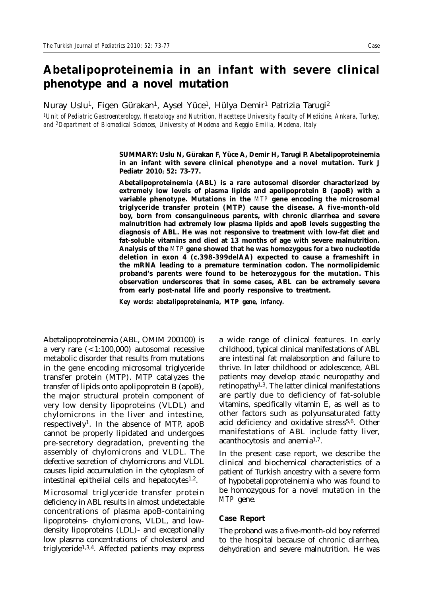# **Abetalipoproteinemia in an infant with severe clinical phenotype and a novel mutation**

Nuray Uslu<sup>1</sup>, Figen Gürakan<sup>1</sup>, Aysel Yüce<sup>1</sup>, Hülya Demir<sup>1</sup> Patrizia Tarugi<sup>2</sup>

*1Unit of Pediatric Gastroenterology, Hepatology and Nutrition, Hacettepe University Faculty of Medicine, Ankara, Turkey, and 2Department of Biomedical Sciences, University of Modena and Reggio Emilia, Modena, Italy*

> **SUMMARY: Uslu N, Gürakan F, Yüce A, Demir H, Tarugi P. Abetalipoproteinemia in an infant with severe clinical phenotype and a novel mutation. Turk J Pediatr 2010; 52: 73-77.**

> **Abetalipoproteinemia (ABL) is a rare autosomal disorder characterized by extremely low levels of plasma lipids and apolipoprotein B (apoB) with a variable phenotype. Mutations in the** *MTP* **gene encoding the microsomal triglyceride transfer protein (MTP) cause the disease. A five-month-old boy, born from consanguineous parents, with chronic diarrhea and severe malnutrition had extremely low plasma lipids and apoB levels suggesting the diagnosis of ABL. He was not responsive to treatment with low-fat diet and fat-soluble vitamins and died at 13 months of age with severe malnutrition. Analysis of the** *MTP* **gene showed that he was homozygous for a two nucleotide deletion in exon 4 (c.398-399delAA) expected to cause a frameshift in the mRNA leading to a premature termination codon. The normolipidemic proband's parents were found to be heterozygous for the mutation. This observation underscores that in some cases, ABL can be extremely severe from early post-natal life and poorly responsive to treatment.**

*Key words: abetalipoproteinemia, MTP gene, infancy.*

Abetalipoproteinemia (ABL, OMIM 200100) is a very rare  $( $1:100,000$ )$  autosomal recessive metabolic disorder that results from mutations in the gene encoding microsomal triglyceride transfer protein (MTP). MTP catalyzes the transfer of lipids onto apolipoprotein B (apoB), the major structural protein component of very low density lipoproteins (VLDL) and chylomicrons in the liver and intestine, respectively1. In the absence of MTP, apoB cannot be properly lipidated and undergoes pre-secretory degradation, preventing the assembly of chylomicrons and VLDL. The defective secretion of chylomicrons and VLDL causes lipid accumulation in the cytoplasm of intestinal epithelial cells and hepatocytes<sup>1,2</sup>.

Microsomal triglyceride transfer protein deficiency in ABL results in almost undetectable concentrations of plasma apoB-containing lipoproteins- chylomicrons, VLDL, and lowdensity lipoproteins (LDL)- and exceptionally low plasma concentrations of cholesterol and triglyceride1,3,4. Affected patients may express

a wide range of clinical features. In early childhood, typical clinical manifestations of ABL are intestinal fat malabsorption and failure to thrive. In later childhood or adolescence, ABL patients may develop ataxic neuropathy and retinopathy1,3. The latter clinical manifestations are partly due to deficiency of fat-soluble vitamins, specifically vitamin E, as well as to other factors such as polyunsaturated fatty acid deficiency and oxidative stress<sup>5,6</sup>. Other manifestations of ABL include fatty liver, acanthocytosis and anemia1,7.

In the present case report, we describe the clinical and biochemical characteristics of a patient of Turkish ancestry with a severe form of hypobetalipoproteinemia who was found to be homozygous for a novel mutation in the *MTP* gene.

#### **Case Report**

The proband was a five-month-old boy referred to the hospital because of chronic diarrhea, dehydration and severe malnutrition. He was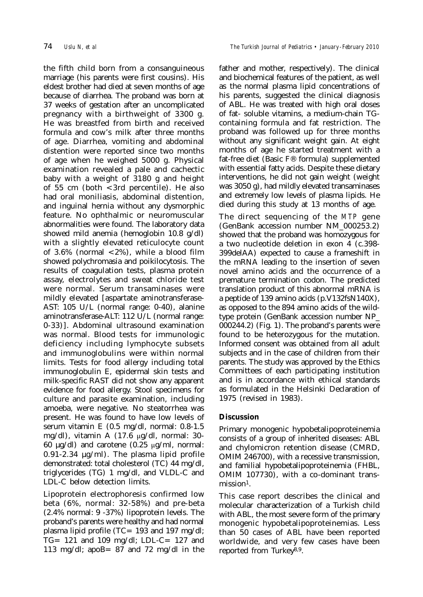the fifth child born from a consanguineous marriage (his parents were first cousins). His eldest brother had died at seven months of age because of diarrhea. The proband was born at 37 weeks of gestation after an uncomplicated pregnancy with a birthweight of 3300 g. He was breastfed from birth and received formula and cow's milk after three months of age. Diarrhea, vomiting and abdominal distention were reported since two months of age when he weighed 5000 g. Physical examination revealed a pale and cachectic baby with a weight of 3180 g and height of 55 cm (both  $\langle$  3rd percentile). He also had oral moniliasis, abdominal distention, and inguinal hernia without any dysmorphic feature. No ophthalmic or neuromuscular abnormalities were found. The laboratory data showed mild anemia (hemoglobin 10.8 g/dl) with a slightly elevated reticulocyte count of 3.6% (normal <2%), while a blood film showed polychromasia and poikilocytosis. The results of coagulation tests, plasma protein assay, electrolytes and sweat chloride test were normal. Serum transaminases were mildly elevated [aspartate aminotransferase-AST: 105 U/L (normal range: 0-40), alanine aminotransferase-ALT: 112 U/L (normal range: 0-33)]. Abdominal ultrasound examination was normal. Blood tests for immunologic deficiency including lymphocyte subsets and immunoglobulins were within normal limits. Tests for food allergy including total immunoglobulin E, epidermal skin tests and milk-specific RAST did not show any apparent evidence for food allergy. Stool specimens for culture and parasite examination, including amoeba, were negative. No steatorrhea was present. He was found to have low levels of serum vitamin E (0.5 mg/dl, normal: 0.8-1.5 mg/dl), vitamin A (17.6 µg/dl, normal: 30- 60  $\mu$ g/dl) and carotene (0.25  $\mu$ g/ml, normal: 0.91-2.34 µg/ml). The plasma lipid profile demonstrated: total cholesterol (TC) 44 mg/dl, triglycerides (TG) 1 mg/dl, and VLDL-C and LDL-C below detection limits.

Lipoprotein electrophoresis confirmed low beta (6%, normal: 32-58%) and pre-beta (2.4% normal: 9 -37%) lipoprotein levels. The proband's parents were healthy and had normal plasma lipid profile (TC= 193 and 197 mg/dl; TG= 121 and 109 mg/dl; LDL-C= 127 and 113 mg/dl; apoB= 87 and 72 mg/dl in the father and mother, respectively). The clinical and biochemical features of the patient, as well as the normal plasma lipid concentrations of his parents, suggested the clinical diagnosis of ABL. He was treated with high oral doses of fat- soluble vitamins, a medium-chain TGcontaining formula and fat restriction. The proband was followed up for three months without any significant weight gain. At eight months of age he started treatment with a fat-free diet (Basic F® formula) supplemented with essential fatty acids. Despite these dietary interventions, he did not gain weight (weight was 3050 g), had mildly elevated transaminases and extremely low levels of plasma lipids. He died during this study at 13 months of age.

The direct sequencing of the *MTP* gene (GenBank accession number NM\_000253.2) showed that the proband was homozygous for a two nucleotide deletion in exon 4 (c.398- 399delAA) expected to cause a frameshift in the mRNA leading to the insertion of seven novel amino acids and the occurrence of a premature termination codon. The predicted translation product of this abnormal mRNA is a peptide of 139 amino acids (p.V132fsN140X), as opposed to the 894 amino acids of the wildtype protein (GenBank accession number NP\_ 000244.2) (Fig. 1). The proband's parents were found to be heterozygous for the mutation. Informed consent was obtained from all adult subjects and in the case of children from their parents. The study was approved by the Ethics Committees of each participating institution and is in accordance with ethical standards as formulated in the Helsinki Declaration of 1975 (revised in 1983).

## **Discussion**

Primary monogenic hypobetalipoproteinemia consists of a group of inherited diseases: ABL and chylomicron retention disease (CMRD, OMIM 246700), with a recessive transmission, and familial hypobetalipoproteinemia (FHBL, OMIM 107730), with a co-dominant trans $mission<sup>1</sup>$ .

This case report describes the clinical and molecular characterization of a Turkish child with ABL, the most severe form of the primary monogenic hypobetalipoproteinemias. Less than 50 cases of ABL have been reported worldwide, and very few cases have been reported from Turkey8,9.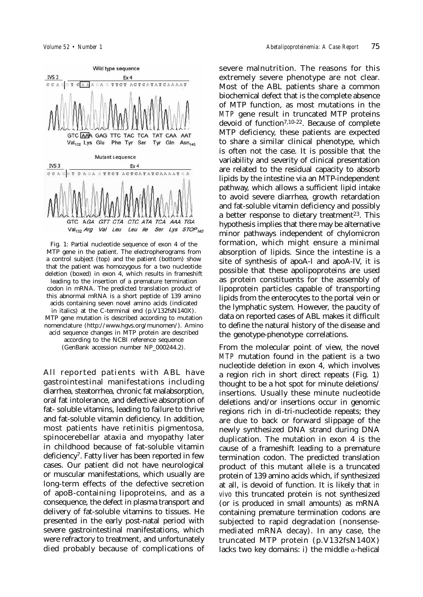

Fig. 1: Partial nucleotide sequence of exon 4 of the MTP gene in the patient. The electropherograms from a control subject (top) and the patient (bottom) show that the patient was homozygous for a two nucleotide deletion (boxed) in exon 4, which results in frameshift leading to the insertion of a premature termination codon in mRNA. The predicted translation product of this abnormal mRNA is a short peptide of 139 amino acids containing seven novel amino acids (indicated in italics) at the C-terminal end (p.V132fsN140X). MTP gene mutation is described according to mutation nomenclature (http://www.hgvs.org/munomen/). Amino acid sequence changes in MTP protein are described according to the NCBI reference sequence (GenBank accession number NP\_000244.2).

All reported patients with ABL have gastrointestinal manifestations including diarrhea, steatorrhea, chronic fat malabsorption, oral fat intolerance, and defective absorption of fat- soluble vitamins, leading to failure to thrive and fat-soluble vitamin deficiency. In addition, most patients have retinitis pigmentosa, spinocerebellar ataxia and myopathy later in childhood because of fat-soluble vitamin deficiency<sup>7</sup>. Fatty liver has been reported in few cases. Our patient did not have neurological or muscular manifestations, which usually are long-term effects of the defective secretion of apoB-containing lipoproteins, and as a consequence, the defect in plasma transport and delivery of fat-soluble vitamins to tissues. He presented in the early post-natal period with severe gastrointestinal manifestations, which were refractory to treatment, and unfortunately died probably because of complications of severe malnutrition. The reasons for this extremely severe phenotype are not clear. Most of the ABL patients share a common biochemical defect that is the complete absence of MTP function, as most mutations in the *MTP* gene result in truncated MTP proteins devoid of function7,10-22. Because of complete MTP deficiency, these patients are expected to share a similar clinical phenotype, which is often not the case. It is possible that the variability and severity of clinical presentation are related to the residual capacity to absorb lipids by the intestine via an MTP-independent pathway, which allows a sufficient lipid intake to avoid severe diarrhea, growth retardation and fat-soluble vitamin deficiency and possibly a better response to dietary treatment<sup>23</sup>. This hypothesis implies that there may be alternative minor pathways independent of chylomicron formation, which might ensure a minimal absorption of lipids. Since the intestine is a site of synthesis of apoA-I and apoA-IV, it is possible that these apolipoproteins are used as protein constituents for the assembly of lipoprotein particles capable of transporting lipids from the enterocytes to the portal vein or the lymphatic system. However, the paucity of data on reported cases of ABL makes it difficult to define the natural history of the disease and the genotype-phenotype correlations.

From the molecular point of view, the novel *MTP* mutation found in the patient is a two nucleotide deletion in exon 4, which involves a region rich in short direct repeats (Fig. 1) thought to be a hot spot for minute deletions/ insertions. Usually these minute nucleotide deletions and/or insertions occur in genomic regions rich in di-tri-nucleotide repeats; they are due to back or forward slippage of the newly synthesized DNA strand during DNA duplication. The mutation in exon 4 is the cause of a frameshift leading to a premature termination codon. The predicted translation product of this mutant allele is a truncated protein of 139 amino acids which, if synthesized at all, is devoid of function. It is likely that *in vivo* this truncated protein is not synthesized (or is produced in small amounts) as mRNA containing premature termination codons are subjected to rapid degradation (nonsensemediated mRNA decay). In any case, the truncated MTP protein (p.V132fsN140X) lacks two key domains: i) the middle α-helical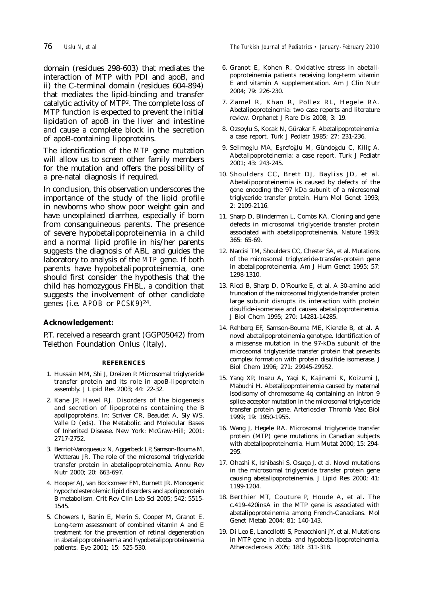domain (residues 298-603) that mediates the interaction of MTP with PDI and apoB, and ii) the C-terminal domain (residues 604-894) that mediates the lipid-binding and transfer catalytic activity of MTP2. The complete loss of MTP function is expected to prevent the initial lipidation of apoB in the liver and intestine and cause a complete block in the secretion of apoB-containing lipoproteins.

The identification of the *MTP* gene mutation will allow us to screen other family members for the mutation and offers the possibility of a pre-natal diagnosis if required.

In conclusion, this observation underscores the importance of the study of the lipid profile in newborns who show poor weight gain and have unexplained diarrhea, especially if born from consanguineous parents. The presence of severe hypobetalipoproteinemia in a child and a normal lipid profile in his/her parents suggests the diagnosis of ABL and guides the laboratory to analysis of the *MTP* gene. If both parents have hypobetalipoproteinemia, one should first consider the hypothesis that the child has homozygous FHBL, a condition that suggests the involvement of other candidate genes (i.e. *APOB* or *PCSK9*)24.

## **Acknowledgement:**

P.T. received a research grant (GGP05042) from Telethon Foundation Onlus (Italy).

#### **REFERENCES**

- 1. Hussain MM, Shi J, Dreizen P. Microsomal triglyceride transfer protein and its role in apoB-lipoprotein assembly. J Lipid Res 2003; 44: 22-32.
- 2. Kane JP, Havel RJ. Disorders of the biogenesis and secretion of lipoproteins containing the B apolipoproteins. In: Scriver CR, Beaudet A, Sly WS, Valle D (eds). The Metabolic and Molecular Bases of Inherited Disease. New York: McGraw-Hill; 2001: 2717-2752.
- 3. Berriot-Varoqueaux N, Aggerbeck LP, Samson-Bouma M, Wetterau JR. The role of the microsomal triglyceride transfer protein in abetalipoproteinemia. Annu Rev Nutr 2000; 20: 663-697.
- 4. Hooper AJ, van Bockxmeer FM, Burnett JR. Monogenic hypocholesterolemic lipid disorders and apolipoprotein B metabolism. Crit Rev Clin Lab Sci 2005; 542: 5515- 1545.
- 5. Chowers I, Banin E, Merin S, Cooper M, Granot E. Long-term assessment of combined vitamin A and E treatment for the prevention of retinal degeneration in abetalipoproteinaemia and hypobetalipoproteinaemia patients. Eye 2001; 15: 525-530.

76 *Uslu N, et al The Turkish Journal of Pediatrics • January - February 2010*

- 6. Granot E, Kohen R. Oxidative stress in abetalipoproteinemia patients receiving long-term vitamin E and vitamin A supplementation. Am J Clin Nutr 2004; 79: 226-230.
- 7. Zamel R, Khan R, Pollex RL, Hegele RA. Abetalipoproteinemia: two case reports and literature review. Orphanet J Rare Dis 2008; 3: 19.
- 8. Ozsoylu S, Kocak N, Gürakar F. Abetalipoproteinemia: a case report. Turk J Pediatr 1985; 27: 231-236.
- 9. Selimoğlu MA, Eşrefoğlu M, Gündoğdu C, Kiliç A. Abetalipoproteinemia: a case report. Turk J Pediatr 2001; 43: 243-245.
- 10. Shoulders CC, Brett DJ, Bayliss JD, et al. Abetalipoproteinemia is caused by defects of the gene encoding the 97 kDa subunit of a microsomal triglyceride transfer protein. Hum Mol Genet 1993; 2: 2109-2116.
- 11. Sharp D, Blinderman L, Combs KA. Cloning and gene defects in microsomal triglyceride transfer protein associated with abetalipoproteinemia. Nature 1993; 365: 65-69.
- 12. Narcisi TM, Shoulders CC, Chester SA, et al. Mutations of the microsomal triglyceride-transfer-protein gene in abetalipoproteinemia. Am J Hum Genet 1995; 57: 1298-1310.
- 13. Ricci B, Sharp D, O'Rourke E, et al. A 30-amino acid truncation of the microsomal triglyceride transfer protein large subunit disrupts its interaction with protein disulfide-isomerase and causes abetalipoproteinemia. J Biol Chem 1995; 270: 14281-14285.
- 14. Rehberg EF, Samson-Bouma ME, Kienzle B, et al. A novel abetalipoproteinemia genotype. Identification of a missense mutation in the 97-kDa subunit of the microsomal triglyceride transfer protein that prevents complex formation with protein disulfide isomerase. J Biol Chem 1996; 271: 29945-29952.
- 15. Yang XP, Inazu A, Yagi K, Kajinami K, Koizumi J, Mabuchi H. Abetalipoproteinemia caused by maternal isodisomy of chromosome 4q containing an intron 9 splice acceptor mutation in the microsomal triglyceride transfer protein gene. Arterioscler Thromb Vasc Biol 1999; 19: 1950-1955.
- 16. Wang J, Hegele RA. Microsomal triglyceride transfer protein (MTP) gene mutations in Canadian subjects with abetalipoproteinemia. Hum Mutat 2000; 15: 294- 295.
- 17. Ohashi K, Ishibashi S, Osuga J, et al. Novel mutations in the microsomal triglyceride transfer protein gene causing abetalipoproteinemia. J Lipid Res 2000; 41: 1199-1204.
- 18. Berthier MT, Couture P, Houde A, et al. The c.419-420insA in the MTP gene is associated with abetalipoproteinemia among French-Canadians. Mol Genet Metab 2004; 81: 140-143.
- 19. Di Leo E, Lancellotti S, Penacchioni JY, et al. Mutations in MTP gene in abeta- and hypobeta-lipoproteinemia. Atherosclerosis 2005; 180: 311-318.